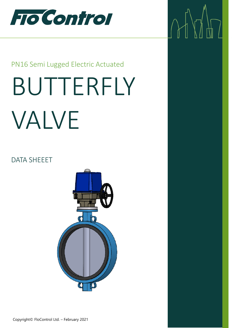

 $\mathcal{M}^{\prime}$ 

# PN16 Semi Lugged Electric Actuated

# BUTTERFLY VALVE

## DATA SHEEET

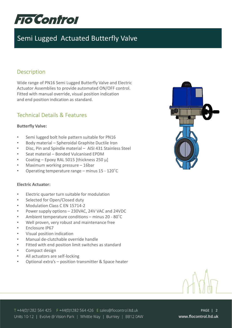

## **Description**

Wide range of PN16 Semi Lugged Butterfly Valve and Electric Actuator Assemblies to provide automated ON/OFF control. Fitted with manual override, visual position indication and end position indication as standard.

## Technical Details & Features

#### **Butterfly Valve:**

- Semi lugged bolt hole pattern suitable for PN16
- Body material Spheroidal Graphite Ductile Iron
- Disc, Pin and Spindle material AISI 431 Stainless Steel
- Seat material Bonded Vulcanised EPDM
- Coating Epoxy RAL 5015 [thickness 250 μ]
- Maximum working pressure 16bar
- Operating temperature range minus 15 120˚C

#### **Electric Actuator:**

- Electric quarter turn suitable for modulation
- Selected for Open/Closed duty
- Modulation Class C EN 15714-2
- Power supply options 230VAC, 24V VAC and 24VDC
- Ambient temperature conditions minus 20 80˚C
- Well proven, very robust and maintenance free
- Enclosure IP67
- Visual position indication
- Manual de-clutchable override handle
- Fitted with end position limit switches as standard
- Compact design
- All actuators are self-locking
- Optional extra's position transmitter & Space heater



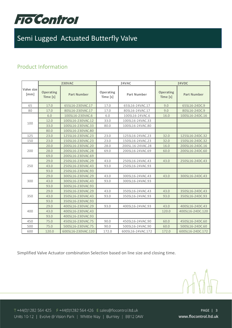

## Product Information

|                    | <b>230VAC</b>                |                    |                       | 24VAC              | 24VDC                        |                    |  |
|--------------------|------------------------------|--------------------|-----------------------|--------------------|------------------------------|--------------------|--|
| Valve size<br>[mm] | <b>Operating</b><br>Time [s] | <b>Part Number</b> | Operating<br>Time [s] | <b>Part Number</b> | <b>Operating</b><br>Time [s] | <b>Part Number</b> |  |
| 65                 | 17.0                         | 65SL16-230VAC.17   | 17.0                  | 65SL16-24VAC.17    | 9.0                          | 65SL16-24DC.9      |  |
| 80                 | 17.0                         | 80SL16-230VAC.17   | 17.0                  | 80SL16-24VAC.17    | 9.0                          | 80SL16-24DC.9      |  |
| 100                | 6.0                          | 100SL16-230VAC.6   | 6.0                   | 100SL16-24VAC.6    | 16.0                         | 100SL16-24DC.16    |  |
|                    | 12.0                         | 100SL16-230VAC.12  | 33.0                  | 100SL16-24VAC.33   |                              |                    |  |
|                    | 33.0                         | 100SL16-230VAC.33  | 80.0                  | 100SL16-24VAC.80   |                              |                    |  |
|                    | 80.0                         | 100SL16-230VAC.80  |                       |                    |                              |                    |  |
| 125                | 23.0                         | 125SL16-230VAC.23  | 23.0                  | 125SL16-24VAC.23   | 32.0                         | 125SL16-24DC.32    |  |
| 150                | 23.0                         | 150SL16-230VAC.23  | 23.0                  | 150SL16-24VAC.23   | 32.0                         | 150SL16-24DC.32    |  |
| 200                | 20.0                         | 200SL16-230VAC.20  | 28.0                  | 200SL.16-24VAC.28  | 16.0                         | 200SL16-24DC.16    |  |
|                    | 28.0                         | 200SL16-230VAC.28  | 69.0                  | 200SL16-24VAC.69   | 60.0                         | 200SL16-24DC.60    |  |
|                    | 69.0                         | 200SL16-230VAC.69  |                       |                    |                              |                    |  |
| 250                | 29.0                         | 250SL16-230VAC.29  | 43.0                  | 250SL16-24VAC.43   | 43.0                         | 250SL16-24DC.43    |  |
|                    | 43.0                         | 250SL16-230VAC.43  | 93.0                  | 250SL16-24VAC.93   |                              |                    |  |
|                    | 93.0                         | 250SL16-230VAC.93  |                       |                    |                              |                    |  |
| 300                | 29.0                         | 300SL16-230VAC.29  | 43.0                  | 300SL16-24VAC.43   | 43.0                         | 300SL16-24DC.43    |  |
|                    | 43.0                         | 300SL16-230VAC.43  | 93.0                  | 300SL16-24VAC.93   |                              |                    |  |
|                    | 93.0                         | 300SL16-230VAC.93  |                       |                    |                              |                    |  |
| 350                | 29.0                         | 350SL16-230VAC.29  | 43.0                  | 350SL16-24VAC.43   | 43.0                         | 350SL16-24DC.43    |  |
|                    | 43.0                         | 350SL16-230VAC.43  | 93.0                  | 350SL16-24VAC.93   | 93.0                         | 350SL16-24DC.93    |  |
|                    | 93.0                         | 350SL16-230VAC.93  |                       |                    |                              |                    |  |
| 400                | 29.0                         | 400SL16-230VAC.29  | 93.0                  | 400SL16-24VAC.93   | 43.0                         | 400SL16-24DC.43    |  |
|                    | 43.0                         | 400SL16-230VAC.43  |                       |                    | 120.0                        | 400SL16-24DC.120   |  |
|                    | 93.0                         | 400SL16-230VAC.93  |                       |                    |                              |                    |  |
| 450                | 75.0                         | 450SL16-230VAC.75  | 90.0                  | 450SL16-24VAC.90   | 60.0                         | 450SL16-24DC.60    |  |
| 500                | 75.0                         | 500SL16-230VAC.75  | 90.0                  | 500SL16-24VAC.90   | 60.0                         | 500SL16-24DC.60    |  |
| 600                | 120.0                        | 600SL16-230VAC.120 | 172.0                 | 600SL16-24VAC.172  | 172.0                        | 600SL16-24DC.172   |  |

Simplified Valve Actuator combination Selection based on line size and closing time.

T +44(0)1282 564 425 F +44(0)1282 564 426 E sales@flocontrol.ltd.uk Units 10-12 | Evolve @ Vision Park | Whittle Way | Burnley | BB12 0AW

PAGE | 3 www.flocontrol.ltd.uk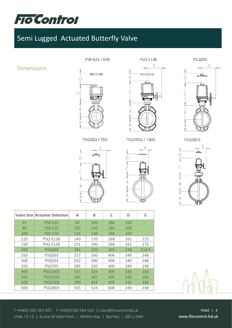

#### PSR-E25 / E50

#### **PSQ-E130**

**PSQ203** 

 $\mathsf{D}$ 

E

## Dimensions



PSQ503 / 703





तााः

**ATL** 

D

 $\overline{B}$ 

 $\overline{B}$ 

PSQ2803



|     | <b>Valve Size Actuator Selection</b> | A   | B   | C   | D   | E     |
|-----|--------------------------------------|-----|-----|-----|-----|-------|
|     |                                      |     |     |     |     |       |
| 65  | <b>PSR-E25</b>                       | 94  | 140 | 186 | 100 |       |
| 80  | <b>PSR-E25</b>                       | 105 | 145 | 186 | 100 |       |
| 100 | <b>PSR-E50</b>                       | 126 | 160 | 186 | 100 |       |
| 125 | <b>PSQ-E130</b>                      | 140 | 170 | 268 | 161 | 172   |
| 150 | <b>PSQ-E130</b>                      | 151 | 190 | 268 | 161 | 172   |
| 200 | <b>PSQ203</b>                        | 183 | 220 | 355 | 228 | 214.5 |
| 250 | <b>PSQ503</b>                        | 217 | 260 | 406 | 240 | 248   |
| 300 | <b>PSQ503</b>                        | 252 | 290 | 406 | 240 | 248   |
| 350 | <b>PSQ703</b>                        | 285 | 320 | 406 | 240 | 248   |
| 400 | PSQ1003                              | 315 | 356 | 409 | 240 | 166   |
| 450 | PSQ1503                              | 384 | 387 | 409 | 240 | 166   |
| 500 | PSQ1503                              | 390 | 424 | 409 | 240 | 166   |
| 600 | PSQ2803                              | 455 | 524 | 608 | 240 | 248   |



T +44(0)1282 564 425 F +44(0)1282 564 426 E sales@flocontrol.ltd.uk Units 10-12 | Evolve @ Vision Park | Whittle Way | Burnley | BB12 0AW

PAGE | 4 www.flocontrol.ltd.uk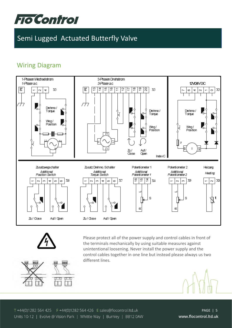

## Wiring Diagram





Please protect all of the power supply and control cables in front of the terminals mechanically by using suitable measures against unintentional loosening. Never install the power supply and the control cables together in one line but instead please always us two different lines.





T +44(0)1282 564 425 F +44(0)1282 564 426 E sales@flocontrol.ltd.uk Units 10-12 | Evolve @ Vision Park | Whittle Way | Burnley | BB12 0AW

PAGE | 5 www.flocontrol.ltd.uk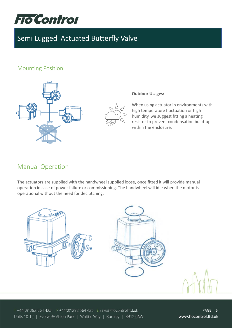

## Mounting Position



#### **Outdoor Usages:**

When using actuator in environments with high temperature fluctuation or high humidity, we suggest fitting a heating resistor to prevent condensation build-up within the enclosure.

## Manual Operation

The actuators are supplied with the handwheel supplied loose, once fitted it will provide manual operation in case of power failure or commissioning. The handwheel will idle when the motor is operational without the need for declutching.